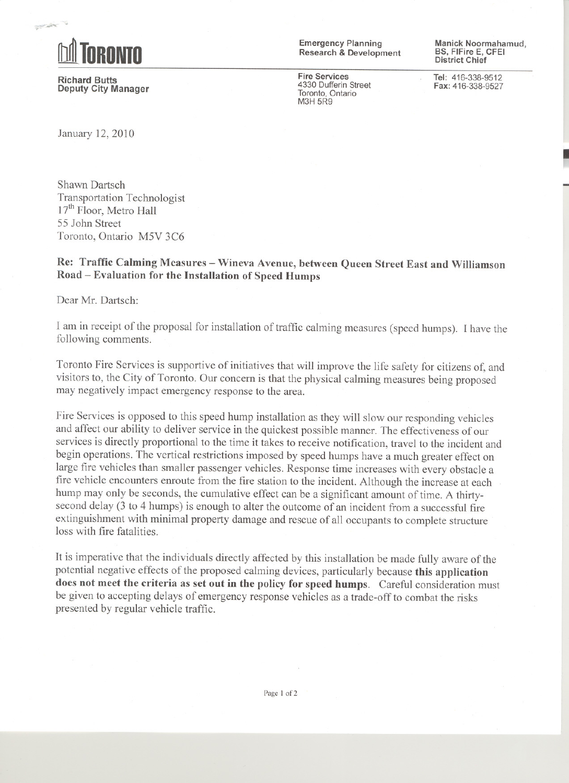

:.:-"'".

Richard Butts Deputy City Manager Emergency Planning Research & Development

Fire Services 4330 Dufferin Street Toronto, Ontario **M3H 5R9** 

Manick Noormahamud, BS, FIFire E, CFEI District Chief

~

Tel: 416-338-9512 Fax: 416-338-9527

January 12,2010

Shawn Dartsch Transportation Technologist  $17<sup>th</sup>$  Floor, Metro Hall 55 John Street Toronto, Ontario M5V 3C6

Re: Traffic Calming Measures - Wineva Avenue, between Queen Street East and Williamson Road - Evaluation for the Installation of Speed Humps

Dear Mr. Dartsch:

I am in receipt of the proposal for installation of traffic calming measures (speed humps). I have the following comments.

Toronto Fire Services is supportive of initiatives that will improve the life safety for citizens of, and visitors to, the City of Toronto. Our concern is that the physical calming measures being proposed may negatively impact emergency response to the area.

Fire Services is opposed to this speed hump installation as they will slow our responding vehicles and affect our ability to deliver service in the quickest possible manner. The effectiveness of our services is directly proportional to the time it takes to receive notification, travel to the incident and begin operations. The vertical restrictions imposed by speed humps have a much greater effect on large fire vehicles than smaller passenger vehicles. Response time increases with every obstacle a fire vehicle encounters enroute from the fire station to the incident. Although the increase at each hump may only be seconds, the cumulative effect can be a significant amount of time. A thirtysecond delay (3 to 4 humps) is enough to alter the outcome of an incident from a successful fire extinguishment with minimal property damage and rescue of all occupants to complete structure loss with fire fatalities.

It is imperative that the individuals directly affected by this installation be made fully aware of the potential negative effects of the proposed calming devices, particularly because this application does not meet the criteria as set out in the policy for speed humps. Careful consideration must be given to accepting delays of emergency response vehicles as a trade-off to combat the risks presented by regular vehicle traffic.